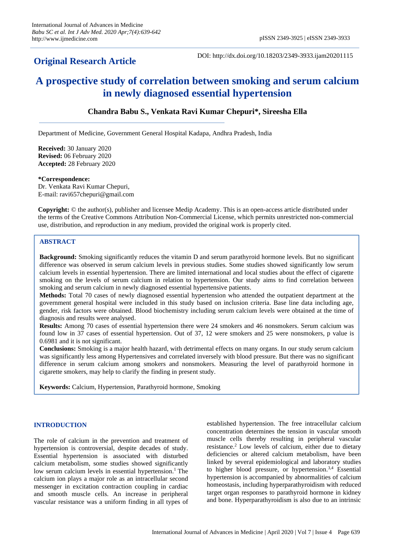## **Original Research Article**

DOI: http://dx.doi.org/10.18203/2349-3933.ijam20201115

# **A prospective study of correlation between smoking and serum calcium in newly diagnosed essential hypertension**

## **Chandra Babu S., Venkata Ravi Kumar Chepuri\*, Sireesha Ella**

Department of Medicine, Government General Hospital Kadapa, Andhra Pradesh, India

**Received:** 30 January 2020 **Revised:** 06 February 2020 **Accepted:** 28 February 2020

#### **\*Correspondence:**

Dr. Venkata Ravi Kumar Chepuri, E-mail: ravi657chepuri@gmail.com

**Copyright:** © the author(s), publisher and licensee Medip Academy. This is an open-access article distributed under the terms of the Creative Commons Attribution Non-Commercial License, which permits unrestricted non-commercial use, distribution, and reproduction in any medium, provided the original work is properly cited.

#### **ABSTRACT**

**Background:** Smoking significantly reduces the vitamin D and serum parathyroid hormone levels. But no significant difference was observed in serum calcium levels in previous studies. Some studies showed significantly low serum calcium levels in essential hypertension. There are limited international and local studies about the effect of cigarette smoking on the levels of serum calcium in relation to hypertension. Our study aims to find correlation between smoking and serum calcium in newly diagnosed essential hypertensive patients.

**Methods:** Total 70 cases of newly diagnosed essential hypertension who attended the outpatient department at the government general hospital were included in this study based on inclusion criteria. Base line data including age, gender, risk factors were obtained. Blood biochemistry including serum calcium levels were obtained at the time of diagnosis and results were analysed.

**Results:** Among 70 cases of essential hypertension there were 24 smokers and 46 nonsmokers. Serum calcium was found low in 37 cases of essential hypertension. Out of 37, 12 were smokers and 25 were nonsmokers, p value is 0.6981 and it is not significant.

**Conclusions:** Smoking is a major health hazard, with detrimental effects on many organs. In our study serum calcium was significantly less among Hypertensives and correlated inversely with blood pressure. But there was no significant difference in serum calcium among smokers and nonsmokers. Measuring the level of parathyroid hormone in cigarette smokers, may help to clarify the finding in present study.

**Keywords:** Calcium, Hypertension, Parathyroid hormone, Smoking

## **INTRODUCTION**

The role of calcium in the prevention and treatment of hypertension is controversial, despite decades of study. Essential hypertension is associated with disturbed calcium metabolism, some studies showed significantly low serum calcium levels in essential hypertension.<sup>1</sup> The calcium ion plays a major role as an intracellular second messenger in excitation contraction coupling in cardiac and smooth muscle cells. An increase in peripheral vascular resistance was a uniform finding in all types of established hypertension. The free intracellular calcium concentration determines the tension in vascular smooth muscle cells thereby resulting in peripheral vascular resistance.<sup>2</sup> Low levels of calcium, either due to dietary deficiencies or altered calcium metabolism, have been linked by several epidemiological and laboratory studies to higher blood pressure, or hypertension.<sup>3,4</sup> Essential hypertension is accompanied by abnormalities of calcium homeostasis, including hyperparathyroidism with reduced target organ responses to parathyroid hormone in kidney and bone. Hyperparathyroidism is also due to an intrinsic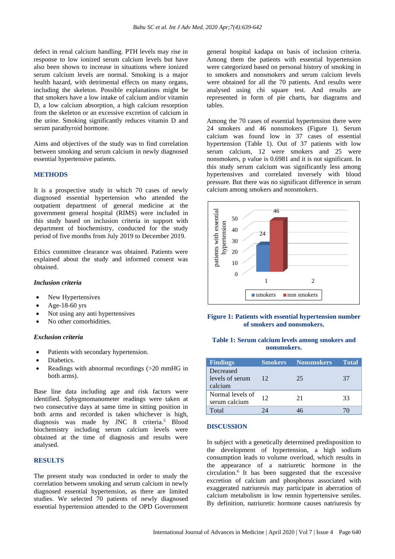defect in renal calcium handling. PTH levels may rise in response to low ionized serum calcium levels but have also been shown to increase in situations where ionized serum calcium levels are normal. Smoking is a major health hazard, with detrimental effects on many organs, including the skeleton. Possible explanations might be that smokers have a low intake of calcium and/or vitamin D, a low calcium absorption, a high calcium resorption from the skeleton or an excessive excretion of calcium in the urine. Smoking significantly reduces vitamin D and serum parathyroid hormone.

Aims and objectives of the study was to find correlation between smoking and serum calcium in newly diagnosed essential hypertensive patients.

#### **METHODS**

It is a prospective study in which 70 cases of newly diagnosed essential hypertension who attended the outpatient department of general medicine at the government general hospital (RIMS) were included in this study based on inclusion criteria in support with department of biochemistry, conducted for the study period of five months from July 2019 to December 2019.

Ethics committee clearance was obtained. Patients were explained about the study and informed consent was obtained.

#### *Inclusion criteria*

- New Hypertensives
- Age-18-60 yrs
- Not using any anti hypertensives
- No other comorbidities.

#### *Exclusion criteria*

- Patients with secondary hypertension.
- Diabetics.
- Readings with abnormal recordings (>20 mmHG in both arms).

Base line data including age and risk factors were identified. Sphygmomanometer readings were taken at two consecutive days at same time in sitting position in both arms and recorded is taken whichever is high, diagnosis was made by JNC 8 criteria.<sup>5</sup> Blood biochemistry including serum calcium levels were obtained at the time of diagnosis and results were analysed.

### **RESULTS**

The present study was conducted in order to study the correlation between smoking and serum calcium in newly diagnosed essential hypertension, as there are limited studies. We selected 70 patients of newly diagnosed essential hypertension attended to the OPD Government general hospital kadapa on basis of inclusion criteria. Among them the patients with essential hypertension were categorized based on personal history of smoking in to smokers and nonsmokers and serum calcium levels were obtained for all the 70 patients. And results were analysed using chi square test. And results are represented in form of pie charts, bar diagrams and tables.

Among the 70 cases of essential hypertension there were 24 smokers and 46 nonsmokers (Figure 1). Serum calcium was found low in 37 cases of essential hypertension (Table 1). Out of 37 patients with low serum calcium, 12 were smokers and 25 were nonsmokers, p value is 0.6981 and it is not significant. In this study serum calcium was significantly less among hypertensives and correlated inversely with blood pressure. But there was no significant difference in serum calcium among smokers and nonsmokers.



#### **Figure 1: Patients with essential hypertension number of smokers and nonsmokers.**

#### **Table 1: Serum calcium levels among smokers and nonsmokers.**

| <b>Findings</b>                         |                 | <b>Smokers Nonsmokers</b> | <b>Total</b> |
|-----------------------------------------|-----------------|---------------------------|--------------|
| Decreased<br>levels of serum<br>calcium | 12 <sup>°</sup> | 25                        | 37           |
| Normal levels of<br>serum calcium       | 12              | 21                        | 33           |
| Total                                   |                 |                           |              |

#### **DISCUSSION**

In subject with a genetically determined predisposition to the development of hypertension, a high sodium consumption leads to volume overload, which results in the appearance of a natriuretic hormone in the circulation.<sup>6</sup> It has been suggested that the excessive excretion of calcium and phosphorus associated with exaggerated natriuresis may participate in aberration of calcium metabolism in low rennin hypertensive seniles. By definition, natriuretic hormone causes natriuresis by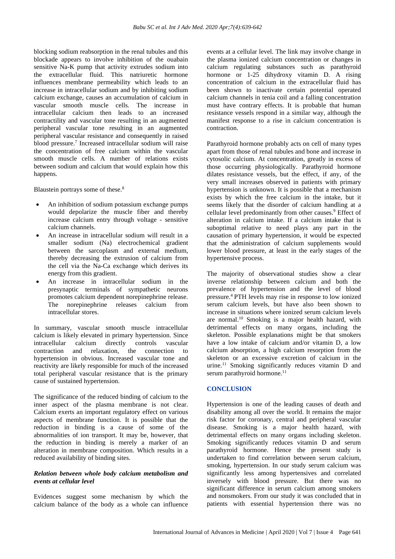blocking sodium reabsorption in the renal tubules and this blockade appears to involve inhibition of the ouabain sensitive Na-K pump that activity extrudes sodium into the extracellular fluid. This natriuretic hormone influences membrane permeability which leads to an increase in intracellular sodium and by inhibiting sodium calcium exchange, causes an accumulation of calcium in vascular smooth muscle cells. The increase in intracellular calcium then leads to an increased contractility and vascular tone resulting in an augmented peripheral vascular tone resulting in an augmented peripheral vascular resistance and consequently in raised blood pressure.<sup>7</sup> Increased intracellular sodium will raise the concentration of free calcium within the vascular smooth muscle cells. A number of relations exists between sodium and calcium that would explain how this happens.

Blaustein portrays some of these.<sup>8</sup>

- An inhibition of sodium potassium exchange pumps would depolarize the muscle fiber and thereby increase calcium entry through voltage - sensitive calcium channels.
- An increase in intracellular sodium will result in a smaller sodium (Na) electrochemical gradient between the sarcoplasm and external medium, thereby decreasing the extrusion of calcium from the cell via the Na-Ca exchange which derives its energy from this gradient.
- An increase in intracellular sodium in the presynaptic terminals of sympathetic neurons promotes calcium dependent norepinephrine release. The norepinephrine releases calcium from intracellular stores.

In summary, vascular smooth muscle intracellular calcium is likely elevated in primary hypertension. Since intracellular calcium directly controls vascular contraction and relaxation, the connection to hypertension in obvious. Increased vascular tone and reactivity are likely responsible for much of the increased total peripheral vascular resistance that is the primary cause of sustained hypertension.

The significance of the reduced binding of calcium to the inner aspect of the plasma membrane is not clear. Calcium exerts an important regulatory effect on various aspects of membrane function. It is possible that the reduction in binding is a cause of some of the abnormalities of ion transport. It may be, however, that the reduction in binding is merely a marker of an alteration in membrane composition. Which results in a reduced availability of binding sites.

#### *Relation between whole body calcium metabolism and events at cellular level*

Evidences suggest some mechanism by which the calcium balance of the body as a whole can influence events at a cellular level. The link may involve change in the plasma ionized calcium concentration or changes in calcium regulating substances such as parathyroid hormone or 1-25 dihydroxy vitamin D. A rising concentration of calcium in the extracellular fluid has been shown to inactivate certain potential operated calcium channels in tenia coil and a falling concentration must have contrary effects. It is probable that human resistance vessels respond in a similar way, although the manifest response to a rise in calcium concentration is contraction.

Parathyroid hormone probably acts on cell of many types apart from those of renal tubules and bone and increase in cytosolic calcium. At concentration, greatly in excess of those occurring physiologically. Parathyroid hormone dilates resistance vessels, but the effect, if any, of the very small increases observed in patients with primary hypertension is unknown. It is possible that a mechanism exists by which the free calcium in the intake, but it seems likely that the disorder of calcium handling at a cellular level predominantly from other causes.<sup>9</sup> Effect of alteration in calcium intake. If a calcium intake that is suboptimal relative to need plays any part in the causation of primary hypertension, it would be expected that the administration of calcium supplements would lower blood pressure, at least in the early stages of the hypertensive process.

The majority of observational studies show a clear inverse relationship between calcium and both the prevalence of hypertension and the level of blood pressure.<sup>4</sup> PTH levels may rise in response to low ionized serum calcium levels, but have also been shown to increase in situations where ionized serum calcium levels are normal. <sup>10</sup> Smoking is a major health hazard, with detrimental effects on many organs, including the skeleton. Possible explanations might be that smokers have a low intake of calcium and/or vitamin D, a low calcium absorption, a high calcium resorption from the skeleton or an excessive excretion of calcium in the urine.<sup>11</sup> Smoking significantly reduces vitamin D and serum parathyroid hormone.<sup>11</sup>

#### **CONCLUSION**

Hypertension is one of the leading causes of death and disability among all over the world. It remains the major risk factor for coronary, central and peripheral vascular disease. Smoking is a major health hazard, with detrimental effects on many organs including skeleton. Smoking significantly reduces vitamin D and serum parathyroid hormone. Hence the present study is undertaken to find correlation between serum calcium, smoking, hypertension. In our study serum calcium was significantly less among hypertensives and correlated inversely with blood pressure. But there was no significant difference in serum calcium among smokers and nonsmokers. From our study it was concluded that in patients with essential hypertension there was no